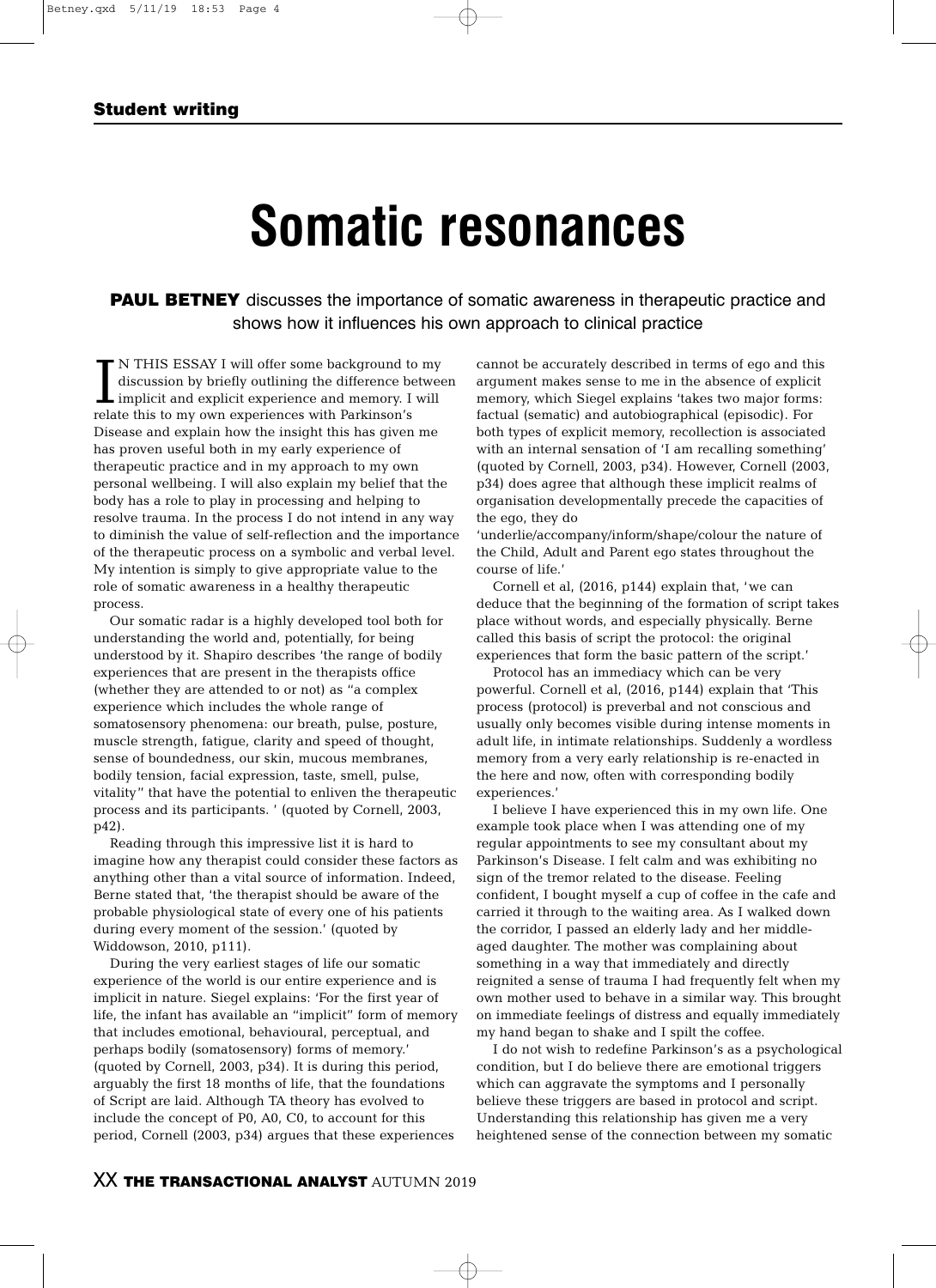### **Student writing**

# **Somatic resonances**

**PAUL BETNEY** discusses the importance of somatic awareness in therapeutic practice and shows how it influences his own approach to clinical practice

 $\prod_{\text{rela}}$ N THIS ESSAY I will offer some background to my discussion by briefly outlining the difference between implicit and explicit experience and memory. I will relate this to my own experiences with Parkinson's Disease and explain how the insight this has given me has proven useful both in my early experience of therapeutic practice and in my approach to my own personal wellbeing. I will also explain my belief that the body has a role to play in processing and helping to resolve trauma. In the process I do not intend in any way to diminish the value of self-reflection and the importance of the therapeutic process on a symbolic and verbal level. My intention is simply to give appropriate value to the role of somatic awareness in a healthy therapeutic process.

Our somatic radar is a highly developed tool both for understanding the world and, potentially, for being understood by it. Shapiro describes 'the range of bodily experiences that are present in the therapists office (whether they are attended to or not) as "a complex experience which includes the whole range of somatosensory phenomena: our breath, pulse, posture, muscle strength, fatigue, clarity and speed of thought, sense of boundedness, our skin, mucous membranes, bodily tension, facial expression, taste, smell, pulse, vitality" that have the potential to enliven the therapeutic process and its participants. ' (quoted by Cornell, 2003, p42).

Reading through this impressive list it is hard to imagine how any therapist could consider these factors as anything other than a vital source of information. Indeed, Berne stated that, 'the therapist should be aware of the probable physiological state of every one of his patients during every moment of the session.' (quoted by Widdowson, 2010, p111).

During the very earliest stages of life our somatic experience of the world is our entire experience and is implicit in nature. Siegel explains: 'For the first year of life, the infant has available an "implicit" form of memory that includes emotional, behavioural, perceptual, and perhaps bodily (somatosensory) forms of memory.' (quoted by Cornell, 2003, p34). It is during this period, arguably the first 18 months of life, that the foundations of Script are laid. Although TA theory has evolved to include the concept of P0, A0, C0, to account for this period, Cornell (2003, p34) argues that these experiences

cannot be accurately described in terms of ego and this argument makes sense to me in the absence of explicit memory, which Siegel explains 'takes two major forms: factual (sematic) and autobiographical (episodic). For both types of explicit memory, recollection is associated with an internal sensation of 'I am recalling something' (quoted by Cornell, 2003, p34). However, Cornell (2003, p34) does agree that although these implicit realms of organisation developmentally precede the capacities of the ego, they do

'underlie/accompany/inform/shape/colour the nature of the Child, Adult and Parent ego states throughout the course of life.'

Cornell et al, (2016, p144) explain that, 'we can deduce that the beginning of the formation of script takes place without words, and especially physically. Berne called this basis of script the protocol: the original experiences that form the basic pattern of the script.'

Protocol has an immediacy which can be very powerful. Cornell et al, (2016, p144) explain that 'This process (protocol) is preverbal and not conscious and usually only becomes visible during intense moments in adult life, in intimate relationships. Suddenly a wordless memory from a very early relationship is re-enacted in the here and now, often with corresponding bodily experiences.'

I believe I have experienced this in my own life. One example took place when I was attending one of my regular appointments to see my consultant about my Parkinson's Disease. I felt calm and was exhibiting no sign of the tremor related to the disease. Feeling confident, I bought myself a cup of coffee in the cafe and carried it through to the waiting area. As I walked down the corridor, I passed an elderly lady and her middleaged daughter. The mother was complaining about something in a way that immediately and directly reignited a sense of trauma I had frequently felt when my own mother used to behave in a similar way. This brought on immediate feelings of distress and equally immediately my hand began to shake and I spilt the coffee.

I do not wish to redefine Parkinson's as a psychological condition, but I do believe there are emotional triggers which can aggravate the symptoms and I personally believe these triggers are based in protocol and script. Understanding this relationship has given me a very heightened sense of the connection between my somatic

## XX **THE TRANSACTIONAL ANALYST** AUTUMN 2019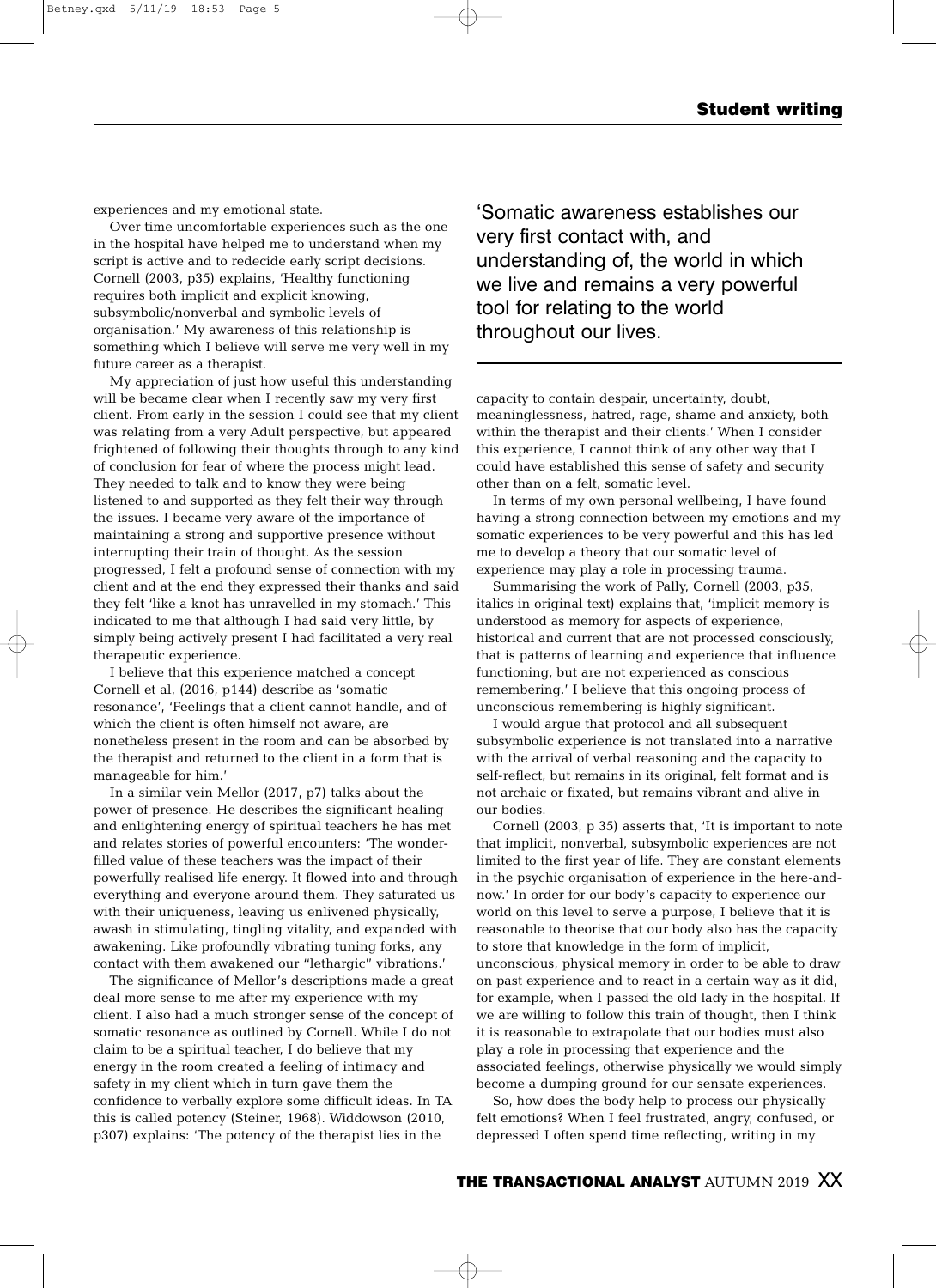experiences and my emotional state.

Over time uncomfortable experiences such as the one in the hospital have helped me to understand when my script is active and to redecide early script decisions. Cornell (2003, p35) explains, 'Healthy functioning requires both implicit and explicit knowing, subsymbolic/nonverbal and symbolic levels of organisation.' My awareness of this relationship is something which I believe will serve me very well in my future career as a therapist.

My appreciation of just how useful this understanding will be became clear when I recently saw my very first client. From early in the session I could see that my client was relating from a very Adult perspective, but appeared frightened of following their thoughts through to any kind of conclusion for fear of where the process might lead. They needed to talk and to know they were being listened to and supported as they felt their way through the issues. I became very aware of the importance of maintaining a strong and supportive presence without interrupting their train of thought. As the session progressed, I felt a profound sense of connection with my client and at the end they expressed their thanks and said they felt 'like a knot has unravelled in my stomach.' This indicated to me that although I had said very little, by simply being actively present I had facilitated a very real therapeutic experience.

I believe that this experience matched a concept Cornell et al, (2016, p144) describe as 'somatic resonance', 'Feelings that a client cannot handle, and of which the client is often himself not aware, are nonetheless present in the room and can be absorbed by the therapist and returned to the client in a form that is manageable for him.'

In a similar vein Mellor (2017, p7) talks about the power of presence. He describes the significant healing and enlightening energy of spiritual teachers he has met and relates stories of powerful encounters: 'The wonderfilled value of these teachers was the impact of their powerfully realised life energy. It flowed into and through everything and everyone around them. They saturated us with their uniqueness, leaving us enlivened physically, awash in stimulating, tingling vitality, and expanded with awakening. Like profoundly vibrating tuning forks, any contact with them awakened our "lethargic" vibrations.'

The significance of Mellor's descriptions made a great deal more sense to me after my experience with my client. I also had a much stronger sense of the concept of somatic resonance as outlined by Cornell. While I do not claim to be a spiritual teacher, I do believe that my energy in the room created a feeling of intimacy and safety in my client which in turn gave them the confidence to verbally explore some difficult ideas. In TA this is called potency (Steiner, 1968). Widdowson (2010, p307) explains: 'The potency of the therapist lies in the

'Somatic awareness establishes our very first contact with, and understanding of, the world in which we live and remains a very powerful tool for relating to the world throughout our lives.

capacity to contain despair, uncertainty, doubt, meaninglessness, hatred, rage, shame and anxiety, both within the therapist and their clients.' When I consider this experience, I cannot think of any other way that I could have established this sense of safety and security other than on a felt, somatic level.

In terms of my own personal wellbeing, I have found having a strong connection between my emotions and my somatic experiences to be very powerful and this has led me to develop a theory that our somatic level of experience may play a role in processing trauma.

Summarising the work of Pally, Cornell (2003, p35, italics in original text) explains that, 'implicit memory is understood as memory for aspects of experience, historical and current that are not processed consciously, that is patterns of learning and experience that influence functioning, but are not experienced as conscious remembering.' I believe that this ongoing process of unconscious remembering is highly significant.

I would argue that protocol and all subsequent subsymbolic experience is not translated into a narrative with the arrival of verbal reasoning and the capacity to self-reflect, but remains in its original, felt format and is not archaic or fixated, but remains vibrant and alive in our bodies.

Cornell (2003, p 35) asserts that, 'It is important to note that implicit, nonverbal, subsymbolic experiences are not limited to the first year of life. They are constant elements in the psychic organisation of experience in the here-andnow.' In order for our body's capacity to experience our world on this level to serve a purpose, I believe that it is reasonable to theorise that our body also has the capacity to store that knowledge in the form of implicit, unconscious, physical memory in order to be able to draw on past experience and to react in a certain way as it did, for example, when I passed the old lady in the hospital. If we are willing to follow this train of thought, then I think it is reasonable to extrapolate that our bodies must also play a role in processing that experience and the associated feelings, otherwise physically we would simply become a dumping ground for our sensate experiences.

So, how does the body help to process our physically felt emotions? When I feel frustrated, angry, confused, or depressed I often spend time reflecting, writing in my